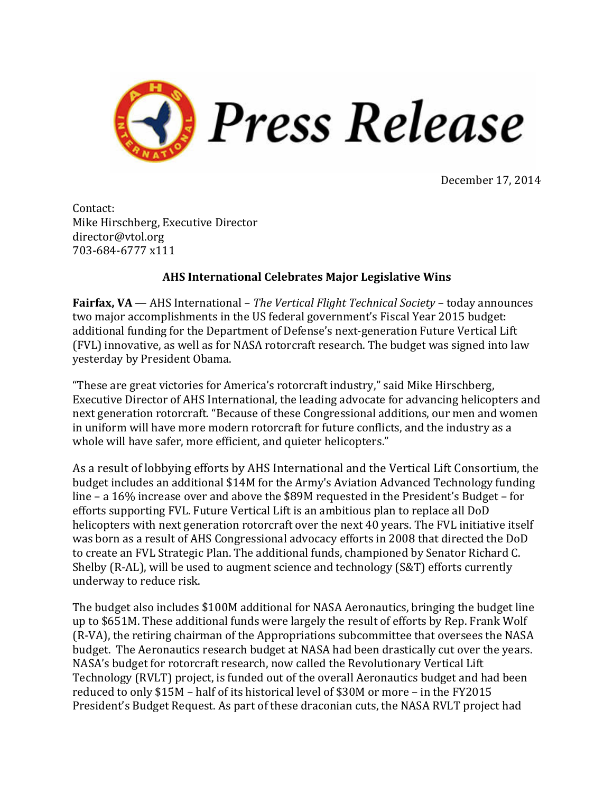

December 17, 2014

Contact: Mike Hirschberg, Executive Director director@vtol.org 703-684-6777 x111

## **AHS International Celebrates Major Legislative Wins**

**Fairfax, VA** — AHS International – *The Vertical Flight Technical Society* – today announces two major accomplishments in the US federal government's Fiscal Year 2015 budget: additional funding for the Department of Defense's next-generation Future Vertical Lift (FVL) innovative, as well as for NASA rotorcraft research. The budget was signed into law yesterday by President Obama.

"These are great victories for America's rotorcraft industry," said Mike Hirschberg, Executive Director of AHS International, the leading advocate for advancing helicopters and next generation rotorcraft. "Because of these Congressional additions, our men and women in uniform will have more modern rotorcraft for future conflicts, and the industry as a whole will have safer, more efficient, and quieter helicopters."

As a result of lobbying efforts by AHS International and the Vertical Lift Consortium, the budget includes an additional \$14M for the Army's Aviation Advanced Technology funding line – a  $16\%$  increase over and above the \$89M requested in the President's Budget – for efforts supporting FVL. Future Vertical Lift is an ambitious plan to replace all DoD helicopters with next generation rotorcraft over the next 40 years. The FVL initiative itself was born as a result of AHS Congressional advocacy efforts in 2008 that directed the DoD to create an FVL Strategic Plan. The additional funds, championed by Senator Richard C. Shelby  $(R-AL)$ , will be used to augment science and technology  $(S\&T)$  efforts currently underway to reduce risk.

The budget also includes \$100M additional for NASA Aeronautics, bringing the budget line up to \$651M. These additional funds were largely the result of efforts by Rep. Frank Wolf (R-VA), the retiring chairman of the Appropriations subcommittee that oversees the NASA budget. The Aeronautics research budget at NASA had been drastically cut over the years. NASA's budget for rotorcraft research, now called the Revolutionary Vertical Lift Technology (RVLT) project, is funded out of the overall Aeronautics budget and had been reduced to only \$15M - half of its historical level of \$30M or more - in the FY2015 President's Budget Request. As part of these draconian cuts, the NASA RVLT project had